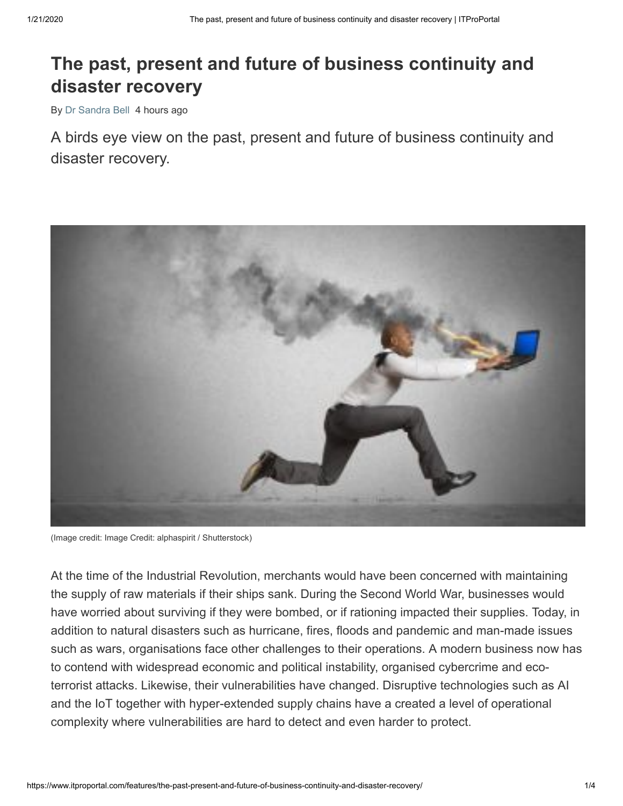## **The past, present and future of business continuity and disaster recovery**

By [Dr Sandra Bell](https://www.itproportal.com/author/dr-sandra-bell/) 4 hours ago

A birds eye view on the past, present and future of business continuity and disaster recovery.



(Image credit: Image Credit: alphaspirit / Shutterstock)

At the time of the Industrial Revolution, merchants would have been concerned with maintaining the supply of raw materials if their ships sank. During the Second World War, businesses would have worried about surviving if they were bombed, or if rationing impacted their supplies. Today, in addition to natural disasters such as hurricane, fires, floods and pandemic and man-made issues such as wars, organisations face other challenges to their operations. A modern business now has to contend with widespread economic and political instability, organised cybercrime and ecoterrorist attacks. Likewise, their vulnerabilities have changed. Disruptive technologies such as AI and the IoT together with hyper-extended supply chains have a created a level of operational complexity where vulnerabilities are hard to detect and even harder to protect.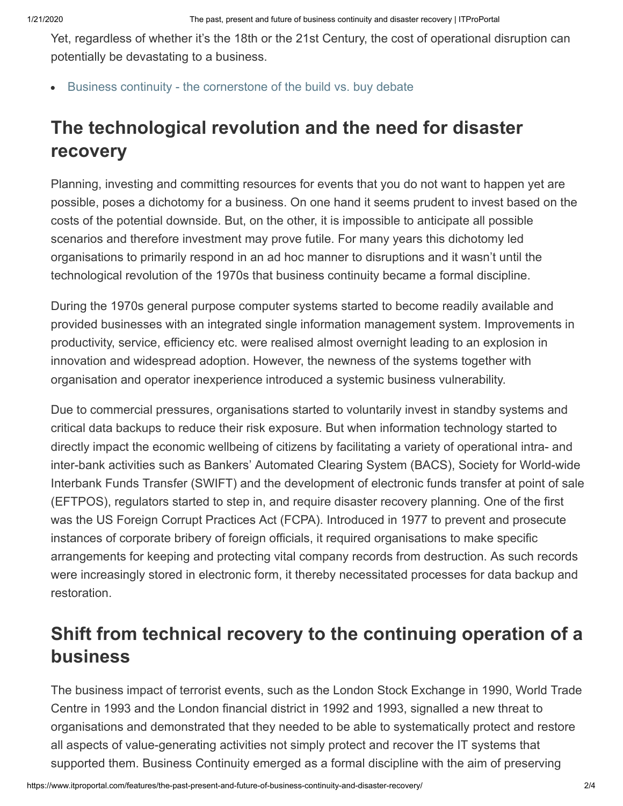Yet, regardless of whether it's the 18th or the 21st Century, the cost of operational disruption can potentially be devastating to a business.

[Business continuity - the cornerstone of the build vs. buy debate](https://www.itproportal.com/features/business-continuity-the-cornerstone-of-the-build-vs-buy-debate/)

# **The technological revolution and the need for disaster recovery**

Planning, investing and committing resources for events that you do not want to happen yet are possible, poses a dichotomy for a business. On one hand it seems prudent to invest based on the costs of the potential downside. But, on the other, it is impossible to anticipate all possible scenarios and therefore investment may prove futile. For many years this dichotomy led organisations to primarily respond in an ad hoc manner to disruptions and it wasn't until the technological revolution of the 1970s that business continuity became a formal discipline.

During the 1970s general purpose computer systems started to become readily available and provided businesses with an integrated single information management system. Improvements in productivity, service, efficiency etc. were realised almost overnight leading to an explosion in innovation and widespread adoption. However, the newness of the systems together with organisation and operator inexperience introduced a systemic business vulnerability.

Due to commercial pressures, organisations started to voluntarily invest in standby systems and critical data backups to reduce their risk exposure. But when information technology started to directly impact the economic wellbeing of citizens by facilitating a variety of operational intra- and inter-bank activities such as Bankers' Automated Clearing System (BACS), Society for World-wide Interbank Funds Transfer (SWIFT) and the development of electronic funds transfer at point of sale (EFTPOS), regulators started to step in, and require disaster recovery planning. One of the first was the US Foreign Corrupt Practices Act (FCPA). Introduced in 1977 to prevent and prosecute instances of corporate bribery of foreign officials, it required organisations to make specific arrangements for keeping and protecting vital company records from destruction. As such records were increasingly stored in electronic form, it thereby necessitated processes for data backup and restoration.

## **Shift from technical recovery to the continuing operation of a business**

The business impact of terrorist events, such as the London Stock Exchange in 1990, World Trade Centre in 1993 and the London financial district in 1992 and 1993, signalled a new threat to organisations and demonstrated that they needed to be able to systematically protect and restore all aspects of value-generating activities not simply protect and recover the IT systems that supported them. Business Continuity emerged as a formal discipline with the aim of preserving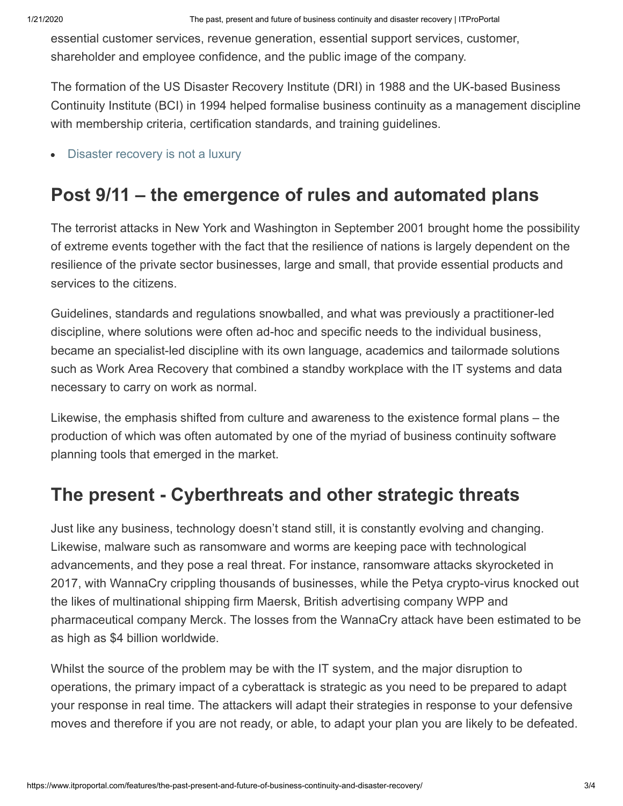essential customer services, revenue generation, essential support services, customer, shareholder and employee confidence, and the public image of the company.

The formation of the US Disaster Recovery Institute (DRI) in 1988 and the UK-based Business Continuity Institute (BCI) in 1994 helped formalise business continuity as a management discipline with membership criteria, certification standards, and training guidelines.

[Disaster recovery is not a luxury](https://www.itproportal.com/features/disaster-recovery-is-not-a-luxury/)

#### **Post 9/11 – the emergence of rules and automated plans**

The terrorist attacks in New York and Washington in September 2001 brought home the possibility of extreme events together with the fact that the resilience of nations is largely dependent on the resilience of the private sector businesses, large and small, that provide essential products and services to the citizens.

Guidelines, standards and regulations snowballed, and what was previously a practitioner-led discipline, where solutions were often ad-hoc and specific needs to the individual business, became an specialist-led discipline with its own language, academics and tailormade solutions such as Work Area Recovery that combined a standby workplace with the IT systems and data necessary to carry on work as normal.

Likewise, the emphasis shifted from culture and awareness to the existence formal plans – the production of which was often automated by one of the myriad of business continuity software planning tools that emerged in the market.

#### **The present - Cyberthreats and other strategic threats**

Just like any business, technology doesn't stand still, it is constantly evolving and changing. Likewise, malware such as ransomware and worms are keeping pace with technological advancements, and they pose a real threat. For instance, ransomware attacks skyrocketed in 2017, with WannaCry crippling thousands of businesses, while the Petya crypto-virus knocked out the likes of multinational shipping firm Maersk, British advertising company WPP and pharmaceutical company Merck. The losses from the WannaCry attack have been estimated to be as high as \$4 billion worldwide.

Whilst the source of the problem may be with the IT system, and the major disruption to operations, the primary impact of a cyberattack is strategic as you need to be prepared to adapt your response in real time. The attackers will adapt their strategies in response to your defensive moves and therefore if you are not ready, or able, to adapt your plan you are likely to be defeated.